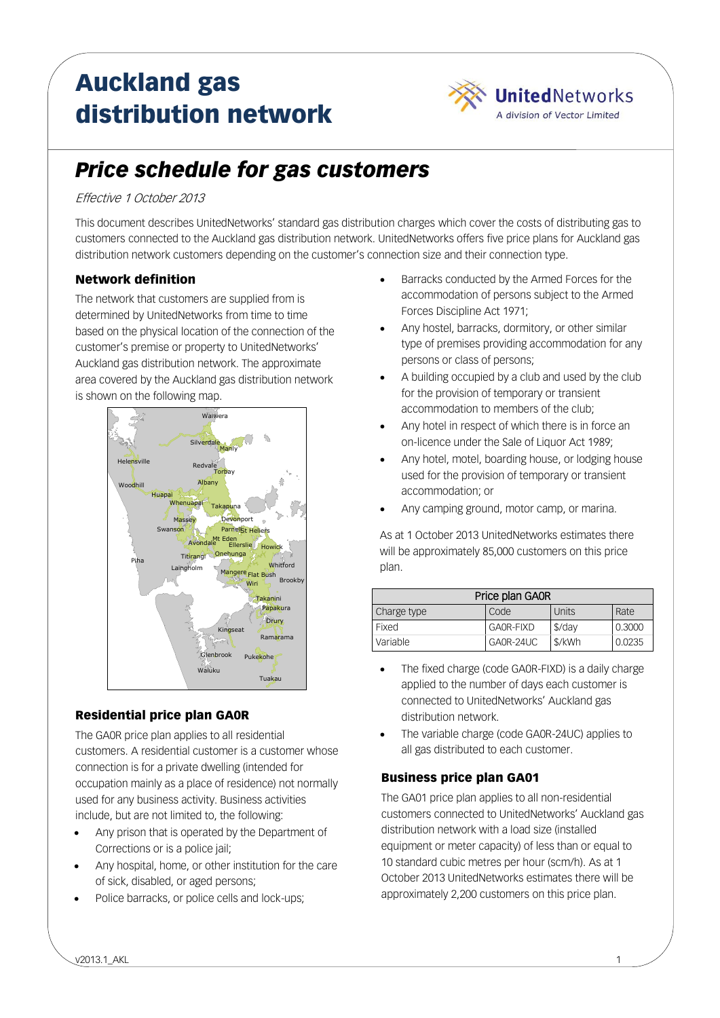# Auckland gas distribution network



# *Price schedule for gas customers*

### Effective 1 October 2013

This document describes UnitedNetworks' standard gas distribution charges which cover the costs of distributing gas to customers connected to the Auckland gas distribution network. UnitedNetworks offers five price plans for Auckland gas distribution network customers depending on the customer's connection size and their connection type.

# Network definition

The network that customers are supplied from is determined by UnitedNetworks from time to time based on the physical location of the connection of the customer's premise or property to UnitedNetworks' Auckland gas distribution network. The approximate area covered by the Auckland gas distribution network is shown on the following map.



# Residential price plan GA0R

The GA0R price plan applies to all residential customers. A residential customer is a customer whose connection is for a private dwelling (intended for occupation mainly as a place of residence) not normally used for any business activity. Business activities include, but are not limited to, the following:

- Any prison that is operated by the Department of Corrections or is a police jail;
- Any hospital, home, or other institution for the care of sick, disabled, or aged persons;
- Police barracks, or police cells and lock-ups;
- Barracks conducted by the Armed Forces for the accommodation of persons subject to the Armed Forces Discipline Act 1971;
- Any hostel, barracks, dormitory, or other similar type of premises providing accommodation for any persons or class of persons;
- A building occupied by a club and used by the club for the provision of temporary or transient accommodation to members of the club;
- Any hotel in respect of which there is in force an on-licence under the Sale of Liquor Act 1989;
- Any hotel, motel, boarding house, or lodging house used for the provision of temporary or transient accommodation; or
- Any camping ground, motor camp, or marina.

As at 1 October 2013 UnitedNetworks estimates there will be approximately 85,000 customers on this price plan.

| Price plan GAOR |           |          |        |
|-----------------|-----------|----------|--------|
| Charge type     | Code      | Units    | Rate   |
| Fixed           | GAOR-FIXD | $$$ /day | 0.3000 |
| Variable        | GA0R-24UC | \$/kWh   | 0.0235 |

- The fixed charge (code GA0R-FIXD) is a daily charge applied to the number of days each customer is connected to UnitedNetworks' Auckland gas distribution network.
- The variable charge (code GA0R-24UC) applies to all gas distributed to each customer.

# Business price plan GA01

The GA01 price plan applies to all non-residential customers connected to UnitedNetworks' Auckland gas distribution network with a load size (installed equipment or meter capacity) of less than or equal to 10 standard cubic metres per hour (scm/h). As at 1 October 2013 UnitedNetworks estimates there will be approximately 2,200 customers on this price plan.